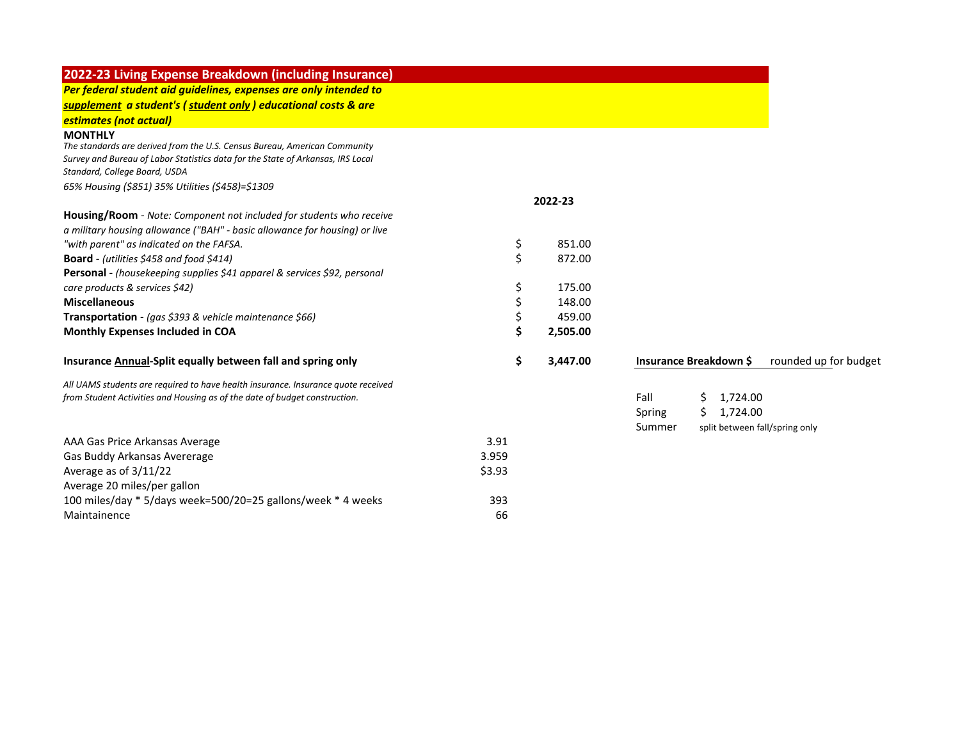| 2022-23 Living Expense Breakdown (including Insurance)                                                                                                                         |        |          |                                                 |
|--------------------------------------------------------------------------------------------------------------------------------------------------------------------------------|--------|----------|-------------------------------------------------|
| Per federal student aid guidelines, expenses are only intended to                                                                                                              |        |          |                                                 |
| supplement a student's (student only) educational costs & are                                                                                                                  |        |          |                                                 |
| estimates (not actual)                                                                                                                                                         |        |          |                                                 |
| <b>MONTHLY</b><br>The standards are derived from the U.S. Census Bureau, American Community<br>Survey and Bureau of Labor Statistics data for the State of Arkansas, IRS Local |        |          |                                                 |
| Standard, College Board, USDA                                                                                                                                                  |        |          |                                                 |
| 65% Housing (\$851) 35% Utilities (\$458)=\$1309                                                                                                                               |        |          |                                                 |
|                                                                                                                                                                                |        | 2022-23  |                                                 |
| Housing/Room - Note: Component not included for students who receive                                                                                                           |        |          |                                                 |
| a military housing allowance ("BAH" - basic allowance for housing) or live                                                                                                     |        |          |                                                 |
| "with parent" as indicated on the FAFSA.                                                                                                                                       | \$     | 851.00   |                                                 |
| Board - (utilities \$458 and food \$414)                                                                                                                                       | \$     | 872.00   |                                                 |
| Personal - (housekeeping supplies \$41 apparel & services \$92, personal                                                                                                       |        |          |                                                 |
| care products & services \$42)                                                                                                                                                 | \$     | 175.00   |                                                 |
| <b>Miscellaneous</b>                                                                                                                                                           |        | 148.00   |                                                 |
| Transportation - (gas \$393 & vehicle maintenance \$66)                                                                                                                        |        | 459.00   |                                                 |
| Monthly Expenses Included in COA                                                                                                                                               |        | 2,505.00 |                                                 |
| Insurance Annual-Split equally between fall and spring only                                                                                                                    | \$     | 3,447.00 | Insurance Breakdown \$<br>rounded up for budget |
| All UAMS students are required to have health insurance. Insurance quote received                                                                                              |        |          |                                                 |
| from Student Activities and Housing as of the date of budget construction.                                                                                                     |        |          | Fall<br>1,724.00<br>\$                          |
|                                                                                                                                                                                |        |          | 1,724.00<br>Spring<br>S.                        |
|                                                                                                                                                                                |        |          | Summer<br>split between fall/spring only        |
| AAA Gas Price Arkansas Average                                                                                                                                                 | 3.91   |          |                                                 |
| Gas Buddy Arkansas Avererage                                                                                                                                                   | 3.959  |          |                                                 |
| Average as of $3/11/22$                                                                                                                                                        | \$3.93 |          |                                                 |
| Average 20 miles/per gallon                                                                                                                                                    |        |          |                                                 |
| 100 miles/day * 5/days week=500/20=25 gallons/week * 4 weeks                                                                                                                   | 393    |          |                                                 |
| Maintainence                                                                                                                                                                   | 66     |          |                                                 |